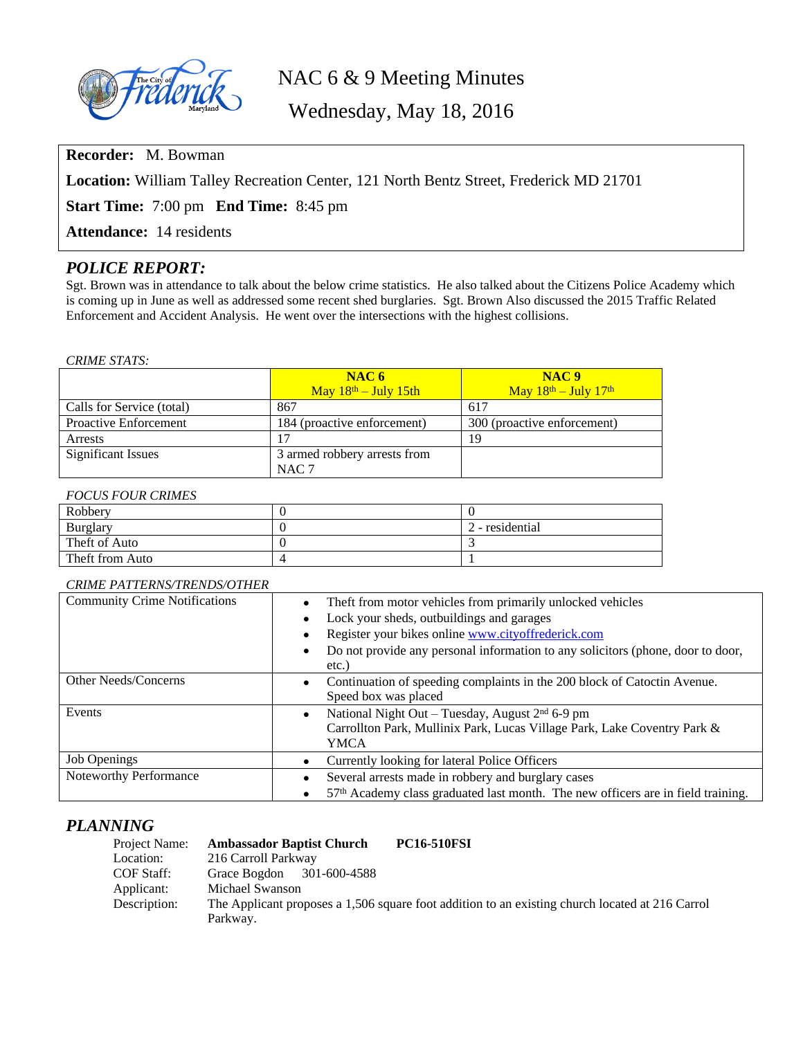

NAC 6 & 9 Meeting Minutes

Wednesday, May 18, 2016

**Recorder:** M. Bowman

**Location:** William Talley Recreation Center, 121 North Bentz Street, Frederick MD 21701

**Start Time:** 7:00 pm **End Time:** 8:45 pm

**Attendance:** 14 residents

## *POLICE REPORT:*

Sgt. Brown was in attendance to talk about the below crime statistics. He also talked about the Citizens Police Academy which is coming up in June as well as addressed some recent shed burglaries. Sgt. Brown Also discussed the 2015 Traffic Related Enforcement and Accident Analysis. He went over the intersections with the highest collisions.

#### *CRIME STATS:*

|                              | NAC6                         | NAC <sub>9</sub>                                   |
|------------------------------|------------------------------|----------------------------------------------------|
|                              | May $18th - July 15th$       | May $18^{\text{th}} - \text{July } 17^{\text{th}}$ |
| Calls for Service (total)    | 867                          | 617                                                |
| <b>Proactive Enforcement</b> | 184 (proactive enforcement)  | 300 (proactive enforcement)                        |
| <b>Arrests</b>               | 17                           | 19                                                 |
| Significant Issues           | 3 armed robbery arrests from |                                                    |
|                              | NAC <sub>7</sub>             |                                                    |

#### *FOCUS FOUR CRIMES*

| Robbery         |                 |
|-----------------|-----------------|
| <b>Burglary</b> | 2 - residential |
| Theft of Auto   |                 |
| Theft from Auto |                 |

#### *CRIME PATTERNS/TRENDS/OTHER*

| <b>Community Crime Notifications</b> | Theft from motor vehicles from primarily unlocked vehicles                                       |  |
|--------------------------------------|--------------------------------------------------------------------------------------------------|--|
|                                      | Lock your sheds, outbuildings and garages                                                        |  |
|                                      | Register your bikes online www.cityoffrederick.com                                               |  |
|                                      | Do not provide any personal information to any solicitors (phone, door to door,<br>٠             |  |
|                                      | etc.)                                                                                            |  |
| Other Needs/Concerns                 | Continuation of speeding complaints in the 200 block of Catoctin Avenue.<br>Speed box was placed |  |
| Events                               | National Night Out - Tuesday, August $2nd$ 6-9 pm<br>$\bullet$                                   |  |
|                                      | Carrollton Park, Mullinix Park, Lucas Village Park, Lake Coventry Park &                         |  |
|                                      | YMCA                                                                                             |  |
| Job Openings                         | Currently looking for lateral Police Officers                                                    |  |
| <b>Noteworthy Performance</b>        | Several arrests made in robbery and burglary cases                                               |  |
|                                      | 57 <sup>th</sup> Academy class graduated last month. The new officers are in field training.     |  |

## *PLANNING*

| Project Name: | <b>PC16-510FSI</b><br><b>Ambassador Baptist Church</b>                                          |
|---------------|-------------------------------------------------------------------------------------------------|
| Location:     | 216 Carroll Parkway                                                                             |
| COF Staff:    | Grace Bogdon 301-600-4588                                                                       |
| Applicant:    | Michael Swanson                                                                                 |
| Description:  | The Applicant proposes a 1,506 square foot addition to an existing church located at 216 Carrol |
|               | Parkway.                                                                                        |